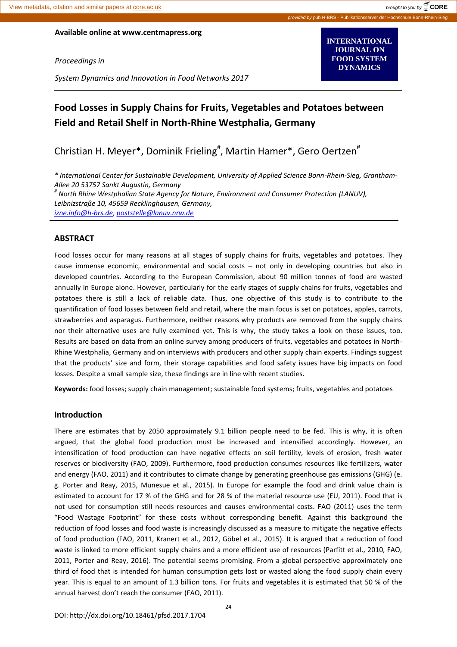**INTERNATIONAL JOURNAL ON FOOD SYSTEM DYNAMICS**

**Available online at www.centmapress.org**

*Proceedings in*

*System Dynamics and Innovation in Food Networks 2017*

# **Food Losses in Supply Chains for Fruits, Vegetables and Potatoes between Field and Retail Shelf in North-Rhine Westphalia, Germany**

Christian H. Meyer\*, Dominik Frieling<sup>#</sup>, Martin Hamer\*, Gero Oertzen<sup>#</sup>

*\* International Center for Sustainable Development, University of Applied Science Bonn-Rhein-Sieg, Grantham-Allee 20 53757 Sankt Augustin, Germany*

*# North Rhine Westphalian State Agency for Nature, Environment and Consumer Protection (LANUV), Leibnizstraße 10, 45659 Recklinghausen, Germany,* 

*[izne.info@h-brs.de](mailto:izne.info@h-brs.de)*, *[poststelle@lanuv.nrw.de](mailto:poststelle@lanuv.nrw.de)*

#### **ABSTRACT**

Food losses occur for many reasons at all stages of supply chains for fruits, vegetables and potatoes. They cause immense economic, environmental and social costs – not only in developing countries but also in developed countries. According to the European Commission, about 90 million tonnes of food are wasted annually in Europe alone. However, particularly for the early stages of supply chains for fruits, vegetables and potatoes there is still a lack of reliable data. Thus, one objective of this study is to contribute to the quantification of food losses between field and retail, where the main focus is set on potatoes, apples, carrots, strawberries and asparagus. Furthermore, neither reasons why products are removed from the supply chains nor their alternative uses are fully examined yet. This is why, the study takes a look on those issues, too. Results are based on data from an online survey among producers of fruits, vegetables and potatoes in North-Rhine Westphalia, Germany and on interviews with producers and other supply chain experts. Findings suggest that the products' size and form, their storage capabilities and food safety issues have big impacts on food losses. Despite a small sample size, these findings are in line with recent studies.

**Keywords:** food losses; supply chain management; sustainable food systems; fruits, vegetables and potatoes

#### **Introduction**

There are estimates that by 2050 approximately 9.1 billion people need to be fed. This is why, it is often argued, that the global food production must be increased and intensified accordingly. However, an intensification of food production can have negative effects on soil fertility, levels of erosion, fresh water reserves or biodiversity (FAO, 2009). Furthermore, food production consumes resources like fertilizers, water and energy (FAO, 2011) and it contributes to climate change by generating greenhouse gas emissions (GHG) (e. g. Porter and Reay, 2015, Munesue et al., 2015). In Europe for example the food and drink value chain is estimated to account for 17 % of the GHG and for 28 % of the material resource use (EU, 2011). Food that is not used for consumption still needs resources and causes environmental costs. FAO (2011) uses the term "Food Wastage Footprint" for these costs without corresponding benefit. Against this background the reduction of food losses and food waste is increasingly discussed as a measure to mitigate the negative effects of food production (FAO, 2011, Kranert et al., 2012, Göbel et al., 2015). It is argued that a reduction of food waste is linked to more efficient supply chains and a more efficient use of resources (Parfitt et al., 2010, FAO, 2011, Porter and Reay, 2016). The potential seems promising. From a global perspective approximately one third of food that is intended for human consumption gets lost or wasted along the food supply chain every year. This is equal to an amount of 1.3 billion tons. For fruits and vegetables it is estimated that 50 % of the annual harvest don't reach the consumer (FAO, 2011).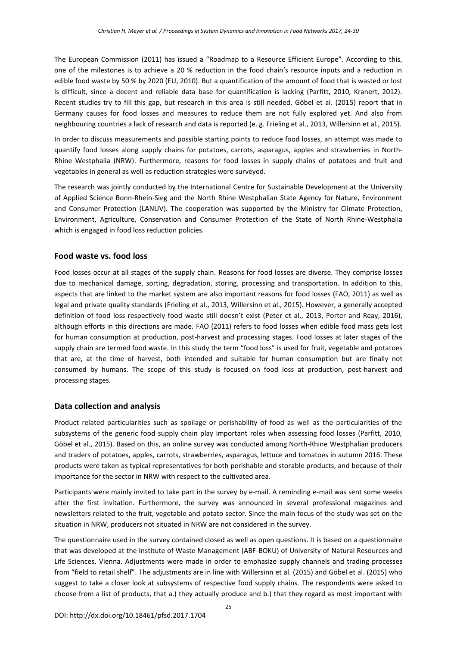The European Commission (2011) has issued a "Roadmap to a Resource Efficient Europe". According to this, one of the milestones is to achieve a 20 % reduction in the food chain's resource inputs and a reduction in edible food waste by 50 % by 2020 (EU, 2010). But a quantification of the amount of food that is wasted or lost is difficult, since a decent and reliable data base for quantification is lacking (Parfitt, 2010, Kranert, 2012). Recent studies try to fill this gap, but research in this area is still needed. Göbel et al. (2015) report that in Germany causes for food losses and measures to reduce them are not fully explored yet. And also from neighbouring countries a lack of research and data is reported (e. g. Frieling et al., 2013, Willersinn et al., 2015).

In order to discuss measurements and possible starting points to reduce food losses, an attempt was made to quantify food losses along supply chains for potatoes, carrots, asparagus, apples and strawberries in North-Rhine Westphalia (NRW). Furthermore, reasons for food losses in supply chains of potatoes and fruit and vegetables in general as well as reduction strategies were surveyed.

The research was jointly conducted by the International Centre for Sustainable Development at the University of Applied Science Bonn-Rhein-Sieg and the North Rhine Westphalian State Agency for Nature, Environment and Consumer Protection (LANUV). The cooperation was supported by the Ministry for Climate Protection, Environment, Agriculture, Conservation and Consumer Protection of the State of North Rhine-Westphalia which is engaged in food loss reduction policies.

## **Food waste vs. food loss**

Food losses occur at all stages of the supply chain. Reasons for food losses are diverse. They comprise losses due to mechanical damage, sorting, degradation, storing, processing and transportation. In addition to this, aspects that are linked to the market system are also important reasons for food losses (FAO, 2011) as well as legal and private quality standards (Frieling et al., 2013, Willersinn et al., 2015). However, a generally accepted definition of food loss respectively food waste still doesn't exist (Peter et al., 2013, Porter and Reay, 2016), although efforts in this directions are made. FAO (2011) refers to food losses when edible food mass gets lost for human consumption at production, post-harvest and processing stages. Food losses at later stages of the supply chain are termed food waste. In this study the term "food loss" is used for fruit, vegetable and potatoes that are, at the time of harvest, both intended and suitable for human consumption but are finally not consumed by humans. The scope of this study is focused on food loss at production, post-harvest and processing stages.

# **Data collection and analysis**

Product related particularities such as spoilage or perishability of food as well as the particularities of the subsystems of the generic food supply chain play important roles when assessing food losses (Parfitt, 2010, Göbel et al., 2015). Based on this, an online survey was conducted among North-Rhine Westphalian producers and traders of potatoes, apples, carrots, strawberries, asparagus, lettuce and tomatoes in autumn 2016. These products were taken as typical representatives for both perishable and storable products, and because of their importance for the sector in NRW with respect to the cultivated area.

Participants were mainly invited to take part in the survey by e-mail. A reminding e-mail was sent some weeks after the first invitation. Furthermore, the survey was announced in several professional magazines and newsletters related to the fruit, vegetable and potato sector. Since the main focus of the study was set on the situation in NRW, producers not situated in NRW are not considered in the survey.

The questionnaire used in the survey contained closed as well as open questions. It is based on a questionnaire that was developed at the Institute of Waste Management (ABF-BOKU) of University of Natural Resources and Life Sciences, Vienna. Adjustments were made in order to emphasize supply channels and trading processes from "field to retail shelf". The adjustments are in line with Willersinn et al. (2015) and Göbel et al. (2015) who suggest to take a closer look at subsystems of respective food supply chains. The respondents were asked to choose from a list of products, that a.) they actually produce and b.) that they regard as most important with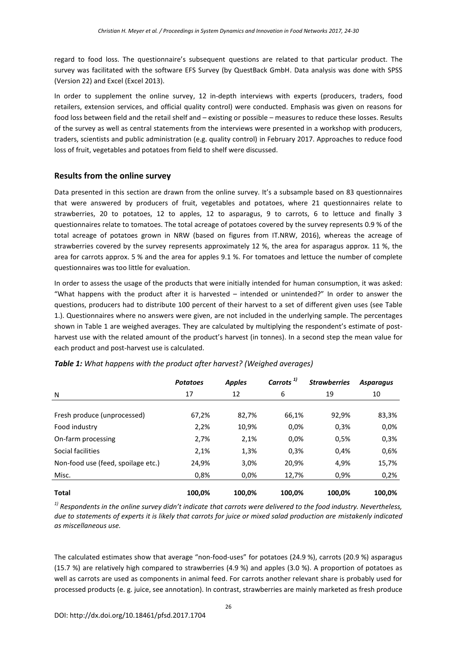regard to food loss. The questionnaire's subsequent questions are related to that particular product. The survey was facilitated with the software EFS Survey (by QuestBack GmbH. Data analysis was done with SPSS (Version 22) and Excel (Excel 2013).

In order to supplement the online survey, 12 in-depth interviews with experts (producers, traders, food retailers, extension services, and official quality control) were conducted. Emphasis was given on reasons for food loss between field and the retail shelf and – existing or possible – measures to reduce these losses. Results of the survey as well as central statements from the interviews were presented in a workshop with producers, traders, scientists and public administration (e.g. quality control) in February 2017. Approaches to reduce food loss of fruit, vegetables and potatoes from field to shelf were discussed.

## **Results from the online survey**

Data presented in this section are drawn from the online survey. It's a subsample based on 83 questionnaires that were answered by producers of fruit, vegetables and potatoes, where 21 questionnaires relate to strawberries, 20 to potatoes, 12 to apples, 12 to asparagus, 9 to carrots, 6 to lettuce and finally 3 questionnaires relate to tomatoes. The total acreage of potatoes covered by the survey represents 0.9 % of the total acreage of potatoes grown in NRW (based on figures from IT.NRW, 2016), whereas the acreage of strawberries covered by the survey represents approximately 12 %, the area for asparagus approx. 11 %, the area for carrots approx. 5 % and the area for apples 9.1 %. For tomatoes and lettuce the number of complete questionnaires was too little for evaluation.

In order to assess the usage of the products that were initially intended for human consumption, it was asked: "What happens with the product after it is harvested – intended or unintended?" In order to answer the questions, producers had to distribute 100 percent of their harvest to a set of different given uses (see Table 1.). Questionnaires where no answers were given, are not included in the underlying sample. The percentages shown in Table 1 are weighed averages. They are calculated by multiplying the respondent's estimate of postharvest use with the related amount of the product's harvest (in tonnes). In a second step the mean value for each product and post-harvest use is calculated.

|                                    | <b>Potatoes</b> | <b>Apples</b> | Carrots <sup>1)</sup> | <b>Strawberries</b> | <b>Asparagus</b> |
|------------------------------------|-----------------|---------------|-----------------------|---------------------|------------------|
| N                                  | 17              | 12            | 6                     | 19                  | 10               |
|                                    |                 |               |                       |                     |                  |
| Fresh produce (unprocessed)        | 67,2%           | 82,7%         | 66,1%                 | 92,9%               | 83,3%            |
| Food industry                      | 2,2%            | 10,9%         | 0.0%                  | 0,3%                | 0,0%             |
| On-farm processing                 | 2,7%            | 2,1%          | 0.0%                  | 0,5%                | 0,3%             |
| Social facilities                  | 2,1%            | 1,3%          | 0,3%                  | 0,4%                | 0,6%             |
| Non-food use (feed, spoilage etc.) | 24,9%           | 3,0%          | 20,9%                 | 4,9%                | 15,7%            |
| Misc.                              | 0,8%            | 0.0%          | 12,7%                 | 0,9%                | 0,2%             |
| <b>Total</b>                       | 100.0%          | 100,0%        | 100,0%                | 100.0%              | 100,0%           |

## *Table 1: What happens with the product after harvest? (Weighed averages)*

*1) Respondents in the online survey didn't indicate that carrots were delivered to the food industry. Nevertheless, due to statements of experts it is likely that carrots for juice or mixed salad production are mistakenly indicated as miscellaneous use.*

The calculated estimates show that average "non-food-uses" for potatoes (24.9 %), carrots (20.9 %) asparagus (15.7 %) are relatively high compared to strawberries (4.9 %) and apples (3.0 %). A proportion of potatoes as well as carrots are used as components in animal feed. For carrots another relevant share is probably used for processed products (e. g. juice, see annotation). In contrast, strawberries are mainly marketed as fresh produce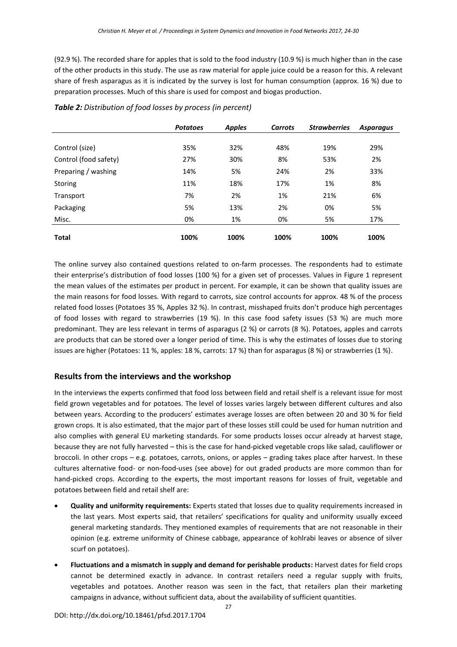(92.9 %). The recorded share for apples that is sold to the food industry (10.9 %) is much higher than in the case of the other products in this study. The use as raw material for apple juice could be a reason for this. A relevant share of fresh asparagus as it is indicated by the survey is lost for human consumption (approx. 16 %) due to preparation processes. Much of this share is used for compost and biogas production.

|                       | <b>Potatoes</b> | <b>Apples</b> | <b>Carrots</b> | <b>Strawberries</b> | <b>Asparagus</b> |
|-----------------------|-----------------|---------------|----------------|---------------------|------------------|
|                       |                 |               |                |                     |                  |
| Control (size)        | 35%             | 32%           | 48%            | 19%                 | 29%              |
| Control (food safety) | 27%             | 30%           | 8%             | 53%                 | 2%               |
| Preparing / washing   | 14%             | 5%            | 24%            | 2%                  | 33%              |
| Storing               | 11%             | 18%           | 17%            | 1%                  | 8%               |
| Transport             | 7%              | 2%            | 1%             | 21%                 | 6%               |
| Packaging             | 5%              | 13%           | 2%             | 0%                  | 5%               |
| Misc.                 | 0%              | 1%            | 0%             | 5%                  | 17%              |
| <b>Total</b>          | 100%            | 100%          | 100%           | 100%                | 100%             |

## *Table 2: Distribution of food losses by process (in percent)*

The online survey also contained questions related to on-farm processes. The respondents had to estimate their enterprise's distribution of food losses (100 %) for a given set of processes. Values in Figure 1 represent the mean values of the estimates per product in percent. For example, it can be shown that quality issues are the main reasons for food losses. With regard to carrots, size control accounts for approx. 48 % of the process related food losses (Potatoes 35 %, Apples 32 %). In contrast, misshaped fruits don't produce high percentages of food losses with regard to strawberries (19 %). In this case food safety issues (53 %) are much more predominant. They are less relevant in terms of asparagus (2 %) or carrots (8 %). Potatoes, apples and carrots are products that can be stored over a longer period of time. This is why the estimates of losses due to storing issues are higher (Potatoes: 11 %, apples: 18 %, carrots: 17 %) than for asparagus (8 %) or strawberries (1 %).

# **Results from the interviews and the workshop**

In the interviews the experts confirmed that food loss between field and retail shelf is a relevant issue for most field grown vegetables and for potatoes. The level of losses varies largely between different cultures and also between years. According to the producers' estimates average losses are often between 20 and 30 % for field grown crops. It is also estimated, that the major part of these losses still could be used for human nutrition and also complies with general EU marketing standards. For some products losses occur already at harvest stage, because they are not fully harvested – this is the case for hand-picked vegetable crops like salad, cauliflower or broccoli. In other crops – e.g. potatoes, carrots, onions, or apples – grading takes place after harvest. In these cultures alternative food- or non-food-uses (see above) for out graded products are more common than for hand-picked crops. According to the experts, the most important reasons for losses of fruit, vegetable and potatoes between field and retail shelf are:

- **Quality and uniformity requirements:** Experts stated that losses due to quality requirements increased in the last years. Most experts said, that retailers' specifications for quality and uniformity usually exceed general marketing standards. They mentioned examples of requirements that are not reasonable in their opinion (e.g. extreme uniformity of Chinese cabbage, appearance of kohlrabi leaves or absence of silver scurf on potatoes).
- **Fluctuations and a mismatch in supply and demand for perishable products:** Harvest dates for field crops cannot be determined exactly in advance. In contrast retailers need a regular supply with fruits, vegetables and potatoes. Another reason was seen in the fact, that retailers plan their marketing campaigns in advance, without sufficient data, about the availability of sufficient quantities.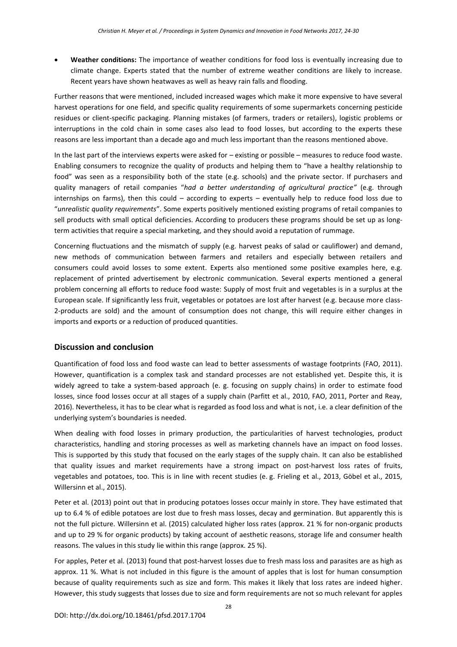**Weather conditions:** The importance of weather conditions for food loss is eventually increasing due to climate change. Experts stated that the number of extreme weather conditions are likely to increase. Recent years have shown heatwaves as well as heavy rain falls and flooding.

Further reasons that were mentioned, included increased wages which make it more expensive to have several harvest operations for one field, and specific quality requirements of some supermarkets concerning pesticide residues or client-specific packaging. Planning mistakes (of farmers, traders or retailers), logistic problems or interruptions in the cold chain in some cases also lead to food losses, but according to the experts these reasons are less important than a decade ago and much less important than the reasons mentioned above.

In the last part of the interviews experts were asked for – existing or possible – measures to reduce food waste. Enabling consumers to recognize the quality of products and helping them to "have a healthy relationship to food" was seen as a responsibility both of the state (e.g. schools) and the private sector. If purchasers and quality managers of retail companies "*had a better understanding of agricultural practice"* (e.g. through internships on farms), then this could – according to experts – eventually help to reduce food loss due to "*unrealistic quality requirements*". Some experts positively mentioned existing programs of retail companies to sell products with small optical deficiencies. According to producers these programs should be set up as longterm activities that require a special marketing, and they should avoid a reputation of rummage.

Concerning fluctuations and the mismatch of supply (e.g. harvest peaks of salad or cauliflower) and demand, new methods of communication between farmers and retailers and especially between retailers and consumers could avoid losses to some extent. Experts also mentioned some positive examples here, e.g. replacement of printed advertisement by electronic communication. Several experts mentioned a general problem concerning all efforts to reduce food waste: Supply of most fruit and vegetables is in a surplus at the European scale. If significantly less fruit, vegetables or potatoes are lost after harvest (e.g. because more class-2-products are sold) and the amount of consumption does not change, this will require either changes in imports and exports or a reduction of produced quantities.

## **Discussion and conclusion**

Quantification of food loss and food waste can lead to better assessments of wastage footprints (FAO, 2011). However, quantification is a complex task and standard processes are not established yet. Despite this, it is widely agreed to take a system-based approach (e. g. focusing on supply chains) in order to estimate food losses, since food losses occur at all stages of a supply chain (Parfitt et al., 2010, FAO, 2011, Porter and Reay, 2016). Nevertheless, it has to be clear what is regarded as food loss and what is not, i.e. a clear definition of the underlying system's boundaries is needed.

When dealing with food losses in primary production, the particularities of harvest technologies, product characteristics, handling and storing processes as well as marketing channels have an impact on food losses. This is supported by this study that focused on the early stages of the supply chain. It can also be established that quality issues and market requirements have a strong impact on post-harvest loss rates of fruits, vegetables and potatoes, too. This is in line with recent studies (e. g. Frieling et al., 2013, Göbel et al., 2015, Willersinn et al., 2015).

Peter et al. (2013) point out that in producing potatoes losses occur mainly in store. They have estimated that up to 6.4 % of edible potatoes are lost due to fresh mass losses, decay and germination. But apparently this is not the full picture. Willersinn et al. (2015) calculated higher loss rates (approx. 21 % for non-organic products and up to 29 % for organic products) by taking account of aesthetic reasons, storage life and consumer health reasons. The values in this study lie within this range (approx. 25 %).

For apples, Peter et al. (2013) found that post-harvest losses due to fresh mass loss and parasites are as high as approx. 11 %. What is not included in this figure is the amount of apples that is lost for human consumption because of quality requirements such as size and form. This makes it likely that loss rates are indeed higher. However, this study suggests that losses due to size and form requirements are not so much relevant for apples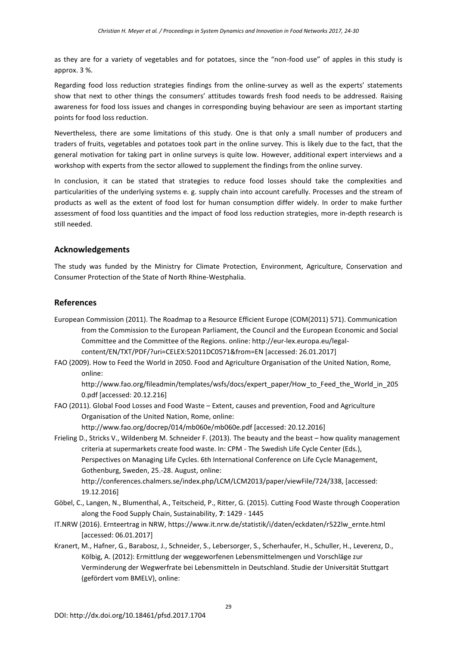as they are for a variety of vegetables and for potatoes, since the "non-food use" of apples in this study is approx. 3 %.

Regarding food loss reduction strategies findings from the online-survey as well as the experts' statements show that next to other things the consumers' attitudes towards fresh food needs to be addressed. Raising awareness for food loss issues and changes in corresponding buying behaviour are seen as important starting points for food loss reduction.

Nevertheless, there are some limitations of this study. One is that only a small number of producers and traders of fruits, vegetables and potatoes took part in the online survey. This is likely due to the fact, that the general motivation for taking part in online surveys is quite low. However, additional expert interviews and a workshop with experts from the sector allowed to supplement the findings from the online survey.

In conclusion, it can be stated that strategies to reduce food losses should take the complexities and particularities of the underlying systems e. g. supply chain into account carefully. Processes and the stream of products as well as the extent of food lost for human consumption differ widely. In order to make further assessment of food loss quantities and the impact of food loss reduction strategies, more in-depth research is still needed.

# **Acknowledgements**

The study was funded by the Ministry for Climate Protection, Environment, Agriculture, Conservation and Consumer Protection of the State of North Rhine-Westphalia.

## **References**

- European Commission (2011). The Roadmap to a Resource Efficient Europe (COM(2011) 571). Communication from the Commission to the European Parliament, the Council and the European Economic and Social Committee and the Committee of the Regions. online: http://eur-lex.europa.eu/legalcontent/EN/TXT/PDF/?uri=CELEX:52011DC0571&from=EN [accessed: 26.01.2017]
- FAO (2009). How to Feed the World in 2050. Food and Agriculture Organisation of the United Nation, Rome, online:

http://www.fao.org/fileadmin/templates/wsfs/docs/expert\_paper/How\_to\_Feed\_the\_World\_in\_205 0.pdf [accessed: 20.12.216]

FAO (2011). Global Food Losses and Food Waste – Extent, causes and prevention, Food and Agriculture Organisation of the United Nation, Rome, online:

http://www.fao.org/docrep/014/mb060e/mb060e.pdf [accessed: 20.12.2016]

Frieling D., Stricks V., Wildenberg M. Schneider F. (2013). The beauty and the beast – how quality management criteria at supermarkets create food waste. In: CPM - The Swedish Life Cycle Center (Eds.), Perspectives on Managing Life Cycles. 6th International Conference on Life Cycle Management, Gothenburg, Sweden, 25.-28. August, online: http://conferences.chalmers.se/index.php/LCM/LCM2013/paper/viewFile/724/338, [accessed:

19.12.2016]

- Göbel, C., Langen, N., Blumenthal, A., Teitscheid, P., Ritter, G. (2015). Cutting Food Waste through Cooperation along the Food Supply Chain, Sustainability, **7**: 1429 - 1445
- IT.NRW (2016). Ernteertrag in NRW, https://www.it.nrw.de/statistik/i/daten/eckdaten/r522lw\_ernte.html [accessed: 06.01.2017]
- Kranert, M., Hafner, G., Barabosz, J., Schneider, S., Lebersorger, S., Scherhaufer, H., Schuller, H., Leverenz, D., Kölbig, A. (2012): Ermittlung der weggeworfenen Lebensmittelmengen und Vorschläge zur Verminderung der Wegwerfrate bei Lebensmitteln in Deutschland. Studie der Universität Stuttgart (gefördert vom BMELV), online: